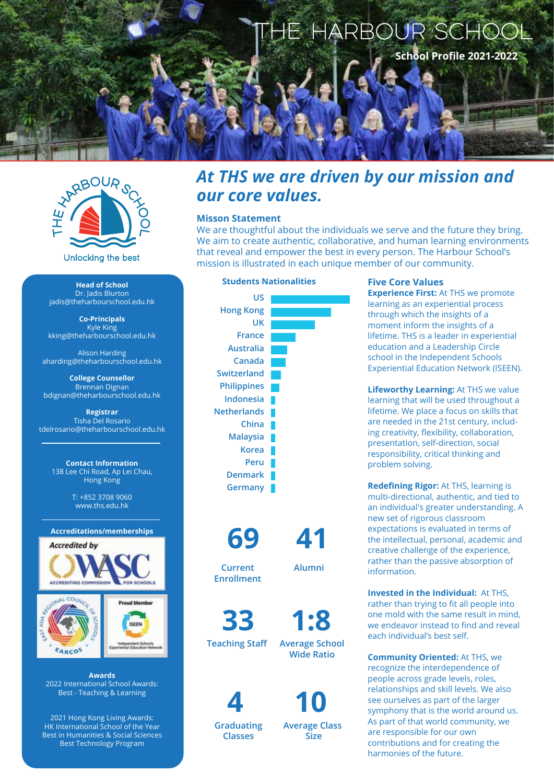



**Head of School** Dr. Jadis Blurton jadis@theharbourschool.edu.hk

**Co-Principals** Kyle King kking@theharbourschool.edu.hk

Alison Harding aharding@theharbourschool.edu.hk

**College Counsellor** Brennan Dignan bdignan@theharbourschool.edu.hk

**Registrar** Tisha Del Rosario tdelrosario@theharbourschool.edu.hk

> **Contact Information** 138 Lee Chi Road, Ap Lei Chau, Hong Kong

> > T: +852 3708 9060 www.ths.edu.hk

### **Accreditations/memberships**





**Awards** 2022 International School Awards: Best - Teaching & Learning

2021 Hong Kong Living Awards: HK International School of the Year Best in Humanities & Social Sciences Best Technology Program

*our core values.*

**Misson Statement**



**Five Core Values**

We are thoughtful about the individuals we serve and the future they bring. We aim to create authentic, collaborative, and human learning environments that reveal and empower the best in every person. The Harbour School's

mission is illustrated in each unique member of our community.

**Experience First: At THS we promote** learning as an experiential process through which the insights of a moment inform the insights of a lifetime. THS is a leader in experiential education and a Leadership Circle school in the Independent Schools Experiential Education Network (ISEEN).

**Lifeworthy Learning: At THS we value** learning that will be used throughout a lifetime. We place a focus on skills that are needed in the 21st century, including creativity, flexibility, collaboration, presentation, self-direction, social responsibility, critical thinking and problem solving.

**Redefining Rigor:** At THS, learning is multi-directional, authentic, and tied to an individual's greater understanding. A new set of rigorous classroom expectations is evaluated in terms of the intellectual, personal, academic and creative challenge of the experience, rather than the passive absorption of information.

**Invested in the Individual:** At THS, rather than trying to fit all people into one mold with the same result in mind, we endeavor instead to find and reveal each individual's best self.

**Community Oriented:** At THS, we recognize the interdependence of people across grade levels, roles, relationships and skill levels. We also see ourselves as part of the larger symphony that is the world around us. As part of that world community, we are responsible for our own contributions and for creating the harmonies of the future.

**33 1:8** 

**Teaching Staff Average School** 

**69 41**

**Current Enrollment**

**Wide Ratio**

**Alumni**

 **4 10**

**Graduating Classes**

**Average Class**

 **Size**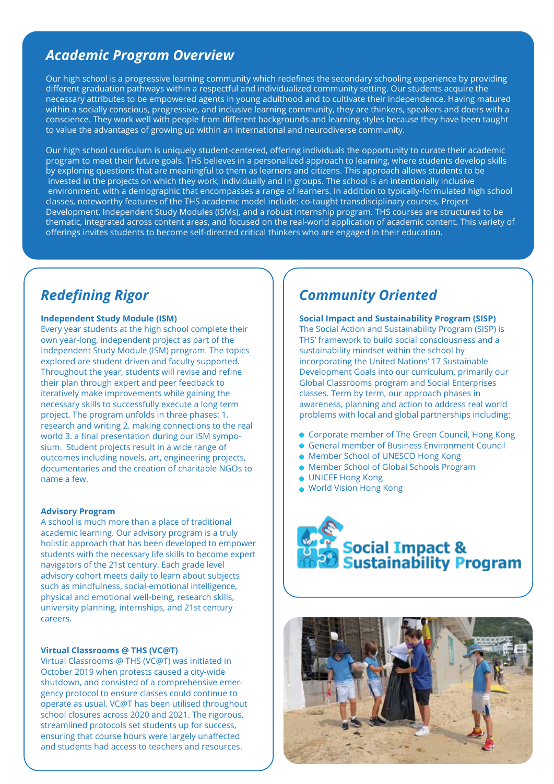# *Academic Program Overview*

Our high school is a progressive learning community which redefines the secondary schooling experience by providing different graduation pathways within a respectful and individualized community setting. Our students acquire the necessary attributes to be empowered agents in young adulthood and to cultivate their independence. Having matured within a socially conscious, progressive, and inclusive learning community, they are thinkers, speakers and doers with a conscience. They work well with people from different backgrounds and learning styles because they have been taught to value the advantages of growing up within an international and neurodiverse community.

Our high school curriculum is uniquely student-centered, offering individuals the opportunity to curate their academic program to meet their future goals. THS believes in a personalized approach to learning, where students develop skills by exploring questions that are meaningful to them as learners and citizens. This approach allows students to be invested in the projects on which they work, individually and in groups. The school is an intentionally inclusive environment, with a demographic that encompasses a range of learners. In addition to typically-formulated high school classes, noteworthy features of the THS academic model include: co-taught transdisciplinary courses, Project Development, Independent Study Modules (ISMs), and a robust internship program. THS courses are structured to be thematic, integrated across content areas, and focused on the real-world application of academic content. This variety of offerings invites students to become self-directed critical thinkers who are engaged in their education.

# *Redefining Rigor*

## **Independent Study Module (ISM)**

Every year students at the high school complete their own year-long, independent project as part of the Independent Study Module (ISM) program. The topics explored are student driven and faculty supported. Throughout the year, students will revise and refine their plan through expert and peer feedback to iteratively make improvements while gaining the necessary skills to successfully execute a long term project. The program unfolds in three phases: 1. research and writing 2. making connections to the real world 3. a final presentation during our ISM symposium. Student projects result in a wide range of outcomes including novels, art, engineering projects, documentaries and the creation of charitable NGOs to name a few.

### **Advisory Program**

A school is much more than a place of traditional academic learning. Our advisory program is a truly holistic approach that has been developed to empower students with the necessary life skills to become expert navigators of the 21st century. Each grade level advisory cohort meets daily to learn about subjects such as mindfulness, social-emotional intelligence, physical and emotional well-being, research skills, university planning, internships, and 21st century careers.

### **Virtual Classrooms @ THS (VC@T)**

Virtual Classrooms @ THS (VC@T) was initiated in October 2019 when protests caused a city-wide shutdown, and consisted of a comprehensive emergency protocol to ensure classes could continue to operate as usual. VC@T has been utilised throughout school closures across 2020 and 2021. The rigorous, streamlined protocols set students up for success, ensuring that course hours were largely unaffected and students had access to teachers and resources.

# *Community Oriented*

#### **Social Impact and Sustainability Program (SISP)** The Social Action and Sustainability Program (SISP) is

THS' framework to build social consciousness and a sustainability mindset within the school by incorporating the United Nations' 17 Sustainable Development Goals into our curriculum, primarily our Global Classrooms program and Social Enterprises classes. Term by term, our approach phases in awareness, planning and action to address real world problems with local and global partnerships including:

- Corporate member of The Green Council, Hong Kong
- General member of Business Environment Council
- Member School of UNESCO Hong Kong
- Member School of Global Schools Program
- **UNICEF Hong Kong**
- World Vision Hong Kong



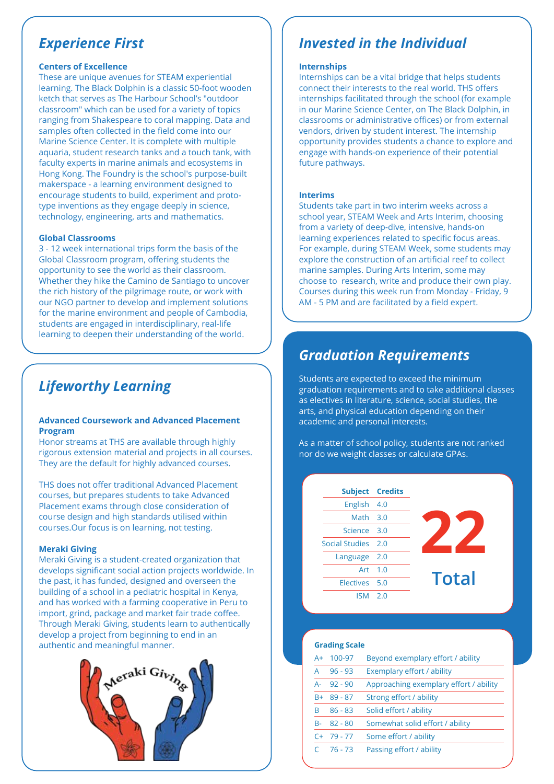# *Experience First*

# **Centers of Excellence**

These are unique avenues for STEAM experiential learning. The Black Dolphin is a classic 50-foot wooden ketch that serves as The Harbour School's "outdoor classroom" which can be used for a variety of topics ranging from Shakespeare to coral mapping. Data and samples often collected in the field come into our Marine Science Center. It is complete with multiple aquaria, student research tanks and a touch tank, with faculty experts in marine animals and ecosystems in Hong Kong. The Foundry is the school's purpose-built makerspace - a learning environment designed to encourage students to build, experiment and prototype inventions as they engage deeply in science, technology, engineering, arts and mathematics.

### **Global Classrooms**

3 - 12 week international trips form the basis of the Global Classroom program, offering students the opportunity to see the world as their classroom. Whether they hike the Camino de Santiago to uncover the rich history of the pilgrimage route, or work with our NGO partner to develop and implement solutions for the marine environment and people of Cambodia, students are engaged in interdisciplinary, real-life learning to deepen their understanding of the world.

# *Lifeworthy Learning*

### **Advanced Coursework and Advanced Placement Program**

Honor streams at THS are available through highly rigorous extension material and projects in all courses. They are the default for highly advanced courses.

THS does not offer traditional Advanced Placement courses, but prepares students to take Advanced Placement exams through close consideration of course design and high standards utilised within courses.Our focus is on learning, not testing.

### **Meraki Giving**

Meraki Giving is a student-created organization that develops significant social action projects worldwide. In the past, it has funded, designed and overseen the building of a school in a pediatric hospital in Kenya, and has worked with a farming cooperative in Peru to import, grind, package and market fair trade coffee. Through Meraki Giving, students learn to authentically develop a project from beginning to end in an authentic and meaningful manner.



# *Invested in the Individual*

### **Internships**

Internships can be a vital bridge that helps students connect their interests to the real world. THS offers internships facilitated through the school (for example in our Marine Science Center, on The Black Dolphin, in classrooms or administrative offices) or from external vendors, driven by student interest. The internship opportunity provides students a chance to explore and engage with hands-on experience of their potential future pathways.

### **Interims**

Students take part in two interim weeks across a school year, STEAM Week and Arts Interim, choosing from a variety of deep-dive, intensive, hands-on learning experiences related to specific focus areas. For example, during STEAM Week, some students may explore the construction of an artificial reef to collect marine samples. During Arts Interim, some may choose to research, write and produce their own play. Courses during this week run from Monday - Friday, 9 AM - 5 PM and are facilitated by a field expert.

# *Graduation Requirements*

Students are expected to exceed the minimum graduation requirements and to take additional classes as electives in literature, science, social studies, the arts, and physical education depending on their academic and personal interests.

As a matter of school policy, students are not ranked nor do we weight classes or calculate GPAs.

**Subject Credits** English Math Science Social Studies Language Art Electives ISM 4.0 3.0 3.0 2.0 2.0 1.0 5.0 2.0



### **Grading Scale**

| $A+$ | 100-97     | Beyond exemplary effort / ability      |
|------|------------|----------------------------------------|
| А    | $96 - 93$  | Exemplary effort / ability             |
| А-   | $92 - 90$  | Approaching exemplary effort / ability |
| $R+$ | $89 - 87$  | Strong effort / ability                |
| R    | $86 - 83$  | Solid effort / ability                 |
| $R-$ | $82 - 80$  | Somewhat solid effort / ability        |
|      | $C+ 79-77$ | Some effort / ability                  |
|      | 76 - 73    | Passing effort / ability               |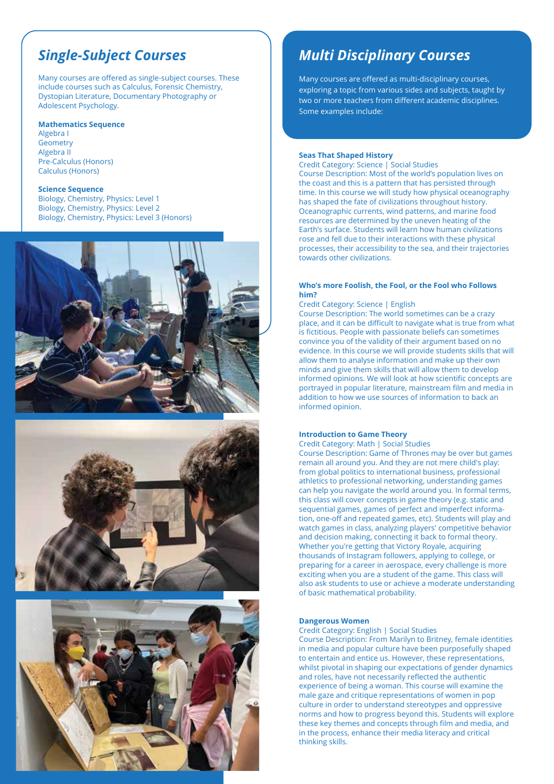# *Single-Subject Courses*

Many courses are offered as single-subject courses. These include courses such as Calculus, Forensic Chemistry, Dystopian Literature, Documentary Photography or Adolescent Psychology.

#### **Mathematics Sequence**

Algebra I **Geometry** Algebra II Pre-Calculus (Honors) Calculus (Honors)

#### **Science Sequence**

Biology, Chemistry, Physics: Level 1 Biology, Chemistry, Physics: Level 2 Biology, Chemistry, Physics: Level 3 (Honors)







# *Multi Disciplinary Courses*

Many courses are offered as multi-disciplinary courses, exploring a topic from various sides and subjects, taught by two or more teachers from different academic disciplines. Some examples include:

#### **Seas That Shaped History**

Credit Category: Science | Social Studies Course Description: Most of the world's population lives on the coast and this is a pattern that has persisted through time. In this course we will study how physical oceanography has shaped the fate of civilizations throughout history. Oceanographic currents, wind patterns, and marine food resources are determined by the uneven heating of the Earth's surface. Students will learn how human civilizations rose and fell due to their interactions with these physical processes, their accessibility to the sea, and their trajectories towards other civilizations.

#### **Who's more Foolish, the Fool, or the Fool who Follows him?**

Credit Category: Science | English

Course Description: The world sometimes can be a crazy place, and it can be difficult to navigate what is true from what is fictitious. People with passionate beliefs can sometimes convince you of the validity of their argument based on no evidence. In this course we will provide students skills that will allow them to analyse information and make up their own minds and give them skills that will allow them to develop informed opinions. We will look at how scientific concepts are portrayed in popular literature, mainstream film and media in addition to how we use sources of information to back an informed opinion.

#### **Introduction to Game Theory**

Credit Category: Math | Social Studies

Course Description: Game of Thrones may be over but games remain all around you. And they are not mere child's play: from global politics to international business, professional athletics to professional networking, understanding games can help you navigate the world around you. In formal terms, this class will cover concepts in game theory (e.g. static and sequential games, games of perfect and imperfect information, one-off and repeated games, etc). Students will play and watch games in class, analyzing players' competitive behavior and decision making, connecting it back to formal theory. Whether you're getting that Victory Royale, acquiring thousands of Instagram followers, applying to college, or preparing for a career in aerospace, every challenge is more exciting when you are a student of the game. This class will also ask students to use or achieve a moderate understanding of basic mathematical probability.

#### **Dangerous Women**

Credit Category: English | Social Studies

Course Description: From Marilyn to Britney, female identities in media and popular culture have been purposefully shaped to entertain and entice us. However, these representations, whilst pivotal in shaping our expectations of gender dynamics and roles, have not necessarily reflected the authentic experience of being a woman. This course will examine the male gaze and critique representations of women in pop culture in order to understand stereotypes and oppressive norms and how to progress beyond this. Students will explore these key themes and concepts through film and media, and in the process, enhance their media literacy and critical thinking skills.